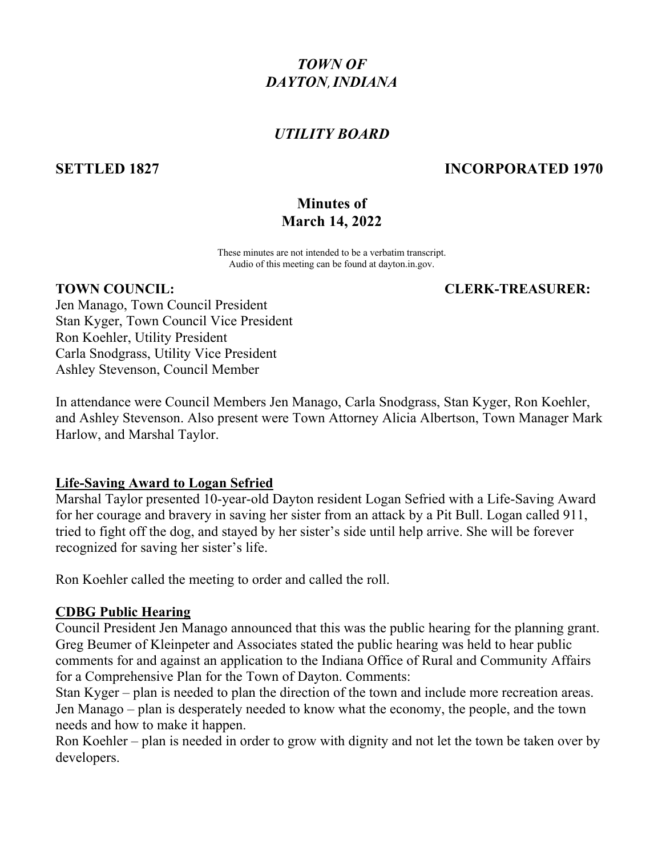# *TOWN OF DAYTON*,*INDIANA*

## *UTILITY BOARD*

## **SETTLED 1827 INCORPORATED 1970**

## **Minutes of March 14, 2022**

These minutes are not intended to be a verbatim transcript. Audio of this meeting can be found at dayton.in.gov.

#### **TOWN COUNCIL: CLERK-TREASURER:**

Jen Manago, Town Council President Stan Kyger, Town Council Vice President Ron Koehler, Utility President Carla Snodgrass, Utility Vice President Ashley Stevenson, Council Member

In attendance were Council Members Jen Manago, Carla Snodgrass, Stan Kyger, Ron Koehler, and Ashley Stevenson. Also present were Town Attorney Alicia Albertson, Town Manager Mark Harlow, and Marshal Taylor.

### **Life-Saving Award to Logan Sefried**

Marshal Taylor presented 10-year-old Dayton resident Logan Sefried with a Life-Saving Award for her courage and bravery in saving her sister from an attack by a Pit Bull. Logan called 911, tried to fight off the dog, and stayed by her sister's side until help arrive. She will be forever recognized for saving her sister's life.

Ron Koehler called the meeting to order and called the roll.

### **CDBG Public Hearing**

Council President Jen Manago announced that this was the public hearing for the planning grant. Greg Beumer of Kleinpeter and Associates stated the public hearing was held to hear public comments for and against an application to the Indiana Office of Rural and Community Affairs for a Comprehensive Plan for the Town of Dayton. Comments:

Stan Kyger – plan is needed to plan the direction of the town and include more recreation areas. Jen Manago – plan is desperately needed to know what the economy, the people, and the town needs and how to make it happen.

Ron Koehler – plan is needed in order to grow with dignity and not let the town be taken over by developers.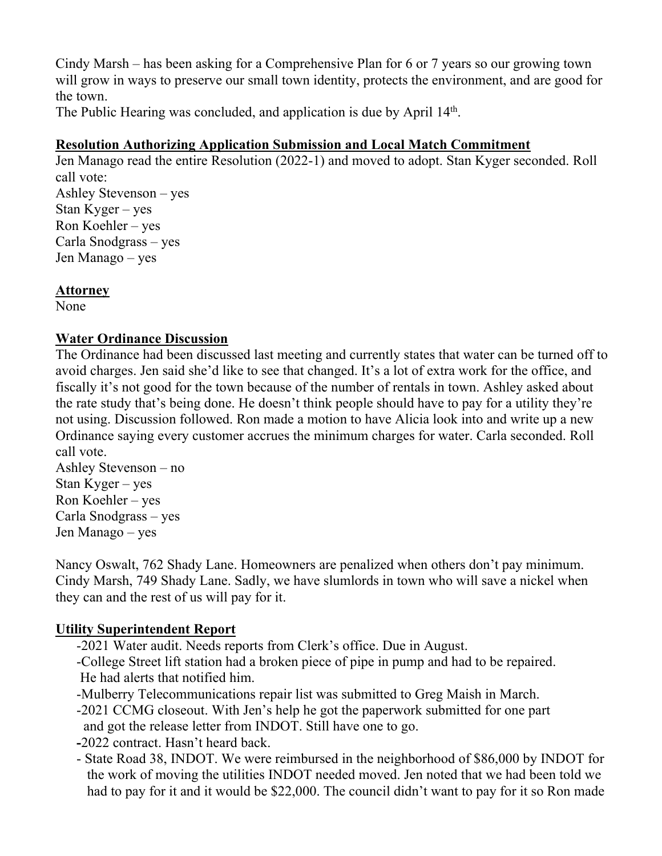Cindy Marsh – has been asking for a Comprehensive Plan for 6 or 7 years so our growing town will grow in ways to preserve our small town identity, protects the environment, and are good for the town.

The Public Hearing was concluded, and application is due by April 14<sup>th</sup>.

## **Resolution Authorizing Application Submission and Local Match Commitment**

Jen Manago read the entire Resolution (2022-1) and moved to adopt. Stan Kyger seconded. Roll call vote: Ashley Stevenson – yes Stan Kyger – yes Ron Koehler – yes Carla Snodgrass – yes Jen Manago – yes

### **Attorney**

None

## **Water Ordinance Discussion**

The Ordinance had been discussed last meeting and currently states that water can be turned off to avoid charges. Jen said she'd like to see that changed. It's a lot of extra work for the office, and fiscally it's not good for the town because of the number of rentals in town. Ashley asked about the rate study that's being done. He doesn't think people should have to pay for a utility they're not using. Discussion followed. Ron made a motion to have Alicia look into and write up a new Ordinance saying every customer accrues the minimum charges for water. Carla seconded. Roll call vote.

Ashley Stevenson – no Stan Kyger – yes Ron Koehler – yes Carla Snodgrass – yes Jen Manago – yes

Nancy Oswalt, 762 Shady Lane. Homeowners are penalized when others don't pay minimum. Cindy Marsh, 749 Shady Lane. Sadly, we have slumlords in town who will save a nickel when they can and the rest of us will pay for it.

## **Utility Superintendent Report**

- -2021 Water audit. Needs reports from Clerk's office. Due in August.
- -College Street lift station had a broken piece of pipe in pump and had to be repaired. He had alerts that notified him.
- -Mulberry Telecommunications repair list was submitted to Greg Maish in March.
- -2021 CCMG closeout. With Jen's help he got the paperwork submitted for one part and got the release letter from INDOT. Still have one to go.
- **-**2022 contract. Hasn't heard back.
- State Road 38, INDOT. We were reimbursed in the neighborhood of \$86,000 by INDOT for the work of moving the utilities INDOT needed moved. Jen noted that we had been told we had to pay for it and it would be \$22,000. The council didn't want to pay for it so Ron made